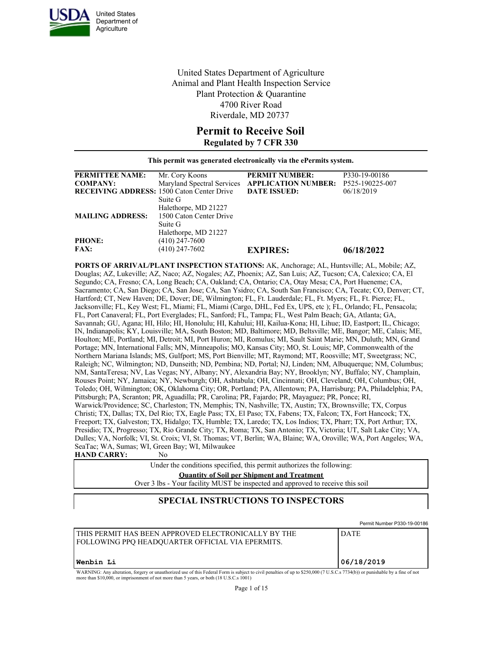

United States Department of Agriculture Animal and Plant Health Inspection Service Plant Protection & Quarantine 4700 River Road Riverdale, MD 20737

## **Permit to Receive Soil**

**Regulated by 7 CFR 330**

**This permit was generated electronically via the ePermits system.**

| <b>PERMITTEE NAME:</b><br>P330-19-00186<br><b>PERMIT NUMBER:</b><br>Mr. Cory Koons<br>Maryland Spectral Services APPLICATION NUMBER:<br>P525-190225-007<br><b>COMPANY:</b><br><b>RECEIVING ADDRESS:</b> 1500 Caton Center Drive<br><b>DATE ISSUED:</b><br>06/18/2019<br>Suite G<br>Halethorpe, MD 21227<br>1500 Caton Center Drive<br><b>MAILING ADDRESS:</b> |
|---------------------------------------------------------------------------------------------------------------------------------------------------------------------------------------------------------------------------------------------------------------------------------------------------------------------------------------------------------------|
|                                                                                                                                                                                                                                                                                                                                                               |
|                                                                                                                                                                                                                                                                                                                                                               |
|                                                                                                                                                                                                                                                                                                                                                               |
|                                                                                                                                                                                                                                                                                                                                                               |
|                                                                                                                                                                                                                                                                                                                                                               |
|                                                                                                                                                                                                                                                                                                                                                               |
| Suite G                                                                                                                                                                                                                                                                                                                                                       |
| Halethorpe, MD 21227                                                                                                                                                                                                                                                                                                                                          |
| <b>PHONE:</b><br>$(410)$ 247-7600                                                                                                                                                                                                                                                                                                                             |
| $(410)$ 247-7602<br><b>FAX:</b><br><b>EXPIRES:</b><br>06/18/2022                                                                                                                                                                                                                                                                                              |

**PORTS OF ARRIVAL/PLANT INSPECTION STATIONS:** AK, Anchorage; AL, Huntsville; AL, Mobile; AZ, Douglas; AZ, Lukeville; AZ, Naco; AZ, Nogales; AZ, Phoenix; AZ, San Luis; AZ, Tucson; CA, Calexico; CA, El Segundo; CA, Fresno; CA, Long Beach; CA, Oakland; CA, Ontario; CA, Otay Mesa; CA, Port Hueneme; CA, Sacramento; CA, San Diego; CA, San Jose; CA, San Ysidro; CA, South San Francisco; CA, Tecate; CO, Denver; CT, Hartford; CT, New Haven; DE, Dover; DE, Wilmington; FL, Ft. Lauderdale; FL, Ft. Myers; FL, Ft. Pierce; FL, Jacksonville; FL, Key West; FL, Miami; FL, Miami (Cargo, DHL, Fed Ex, UPS, etc ); FL, Orlando; FL, Pensacola; FL, Port Canaveral; FL, Port Everglades; FL, Sanford; FL, Tampa; FL, West Palm Beach; GA, Atlanta; GA, Savannah; GU, Agana; HI, Hilo; HI, Honolulu; HI, Kahului; HI, Kailua-Kona; HI, Lihue; ID, Eastport; IL, Chicago; IN, Indianapolis; KY, Louisville; MA, South Boston; MD, Baltimore; MD, Beltsville; ME, Bangor; ME, Calais; ME, Houlton; ME, Portland; MI, Detroit; MI, Port Huron; MI, Romulus; MI, Sault Saint Marie; MN, Duluth; MN, Grand Portage; MN, International Falls; MN, Minneapolis; MO, Kansas City; MO, St. Louis; MP, Commonwealth of the Northern Mariana Islands; MS, Gulfport; MS, Port Bienville; MT, Raymond; MT, Roosville; MT, Sweetgrass; NC, Raleigh; NC, Wilmington; ND, Dunseith; ND, Pembina; ND, Portal; NJ, Linden; NM, Albuquerque; NM, Columbus; NM, SantaTeresa; NV, Las Vegas; NY, Albany; NY, Alexandria Bay; NY, Brooklyn; NY, Buffalo; NY, Champlain, Rouses Point; NY, Jamaica; NY, Newburgh; OH, Ashtabula; OH, Cincinnati; OH, Cleveland; OH, Columbus; OH, Toledo; OH, Wilmington; OK, Oklahoma City; OR, Portland; PA, Allentown; PA, Harrisburg; PA, Philadelphia; PA, Pittsburgh; PA, Scranton; PR, Aguadilla; PR, Carolina; PR, Fajardo; PR, Mayaguez; PR, Ponce; RI, Warwick/Providence; SC, Charleston; TN, Memphis; TN, Nashville; TX, Austin; TX, Brownsville; TX, Corpus Christi; TX, Dallas; TX, Del Rio; TX, Eagle Pass; TX, El Paso; TX, Fabens; TX, Falcon; TX, Fort Hancock; TX, Freeport; TX, Galveston; TX, Hidalgo; TX, Humble; TX, Laredo; TX, Los Indios; TX, Pharr; TX, Port Arthur; TX, Presidio; TX, Progresso; TX, Rio Grande City; TX, Roma; TX, San Antonio; TX, Victoria; UT, Salt Lake City; VA, Dulles; VA, Norfolk; VI, St. Croix; VI, St. Thomas; VT, Berlin; WA, Blaine; WA, Oroville; WA, Port Angeles; WA, SeaTac; WA, Sumas; WI, Green Bay; WI, Milwaukee **HAND CARRY:** No

> Under the conditions specified, this permit authorizes the following: **Quantity of Soil per Shipment and Treatment** Over 3 lbs - Your facility MUST be inspected and approved to receive this soil

## **SPECIAL INSTRUCTIONS TO INSPECTORS**

|                                                                                                                                                                             | Permit Number P330-19-00186 |
|-----------------------------------------------------------------------------------------------------------------------------------------------------------------------------|-----------------------------|
| THIS PERMIT HAS BEEN APPROVED ELECTRONICALLY BY THE<br>FOLLOWING PPO HEADOUARTER OFFICIAL VIA EPERMITS.                                                                     | <b>DATE</b>                 |
| Wenbin Li                                                                                                                                                                   | 106/18/2019                 |
| WADNING: Any alteration, forgory or unouthorized use of this Eaderal Form is subject to ovid populties of up to \$250,000 (7H S C s 7734(b)) or punishable by a fine of not |                             |

WARNING: Any alteration, forgery or unauthorized use of this Federal Form is subject to civil penalties of up to \$250,000 (7 U.S.C.s 7734(b)) or punishable by a fine of not more than \$10,000, or imprisonment of not more than 5 years, or both (18 U.S.C.s 1001)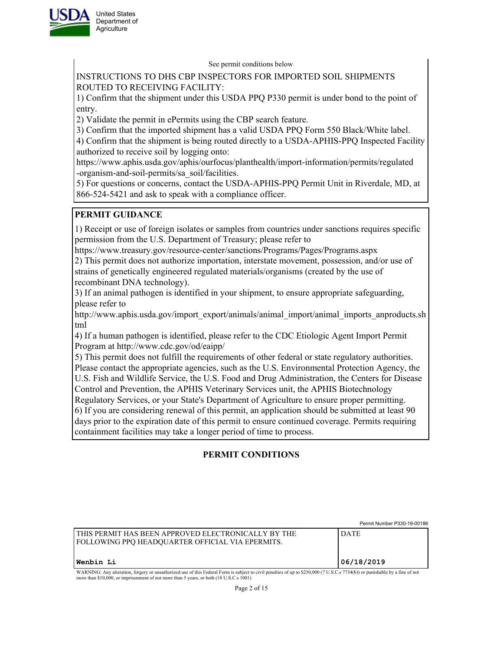

See permit conditions below

INSTRUCTIONS TO DHS CBP INSPECTORS FOR IMPORTED SOIL SHIPMENTS ROUTED TO RECEIVING FACILITY:

1) Confirm that the shipment under this USDA PPQ P330 permit is under bond to the point of entry.

2) Validate the permit in ePermits using the CBP search feature.

3) Confirm that the imported shipment has a valid USDA PPQ Form 550 Black/White label.

4) Confirm that the shipment is being routed directly to a USDA-APHIS-PPQ Inspected Facility authorized to receive soil by logging onto:

https://www.aphis.usda.gov/aphis/ourfocus/planthealth/import-information/permits/regulated -organism-and-soil-permits/sa\_soil/facilities.

5) For questions or concerns, contact the USDA-APHIS-PPQ Permit Unit in Riverdale, MD, at 866-524-5421 and ask to speak with a compliance officer.

# **PERMIT GUIDANCE**

1) Receipt or use of foreign isolates or samples from countries under sanctions requires specific permission from the U.S. Department of Treasury; please refer to

https://www.treasury.gov/resource-center/sanctions/Programs/Pages/Programs.aspx

2) This permit does not authorize importation, interstate movement, possession, and/or use of strains of genetically engineered regulated materials/organisms (created by the use of recombinant DNA technology).

3) If an animal pathogen is identified in your shipment, to ensure appropriate safeguarding, please refer to

http://www.aphis.usda.gov/import\_export/animals/animal\_import/animal\_imports\_anproducts.sh tml

4) If a human pathogen is identified, please refer to the CDC Etiologic Agent Import Permit Program at http://www.cdc.gov/od/eaipp/

5) This permit does not fulfill the requirements of other federal or state regulatory authorities. Please contact the appropriate agencies, such as the U.S. Environmental Protection Agency, the U.S. Fish and Wildlife Service, the U.S. Food and Drug Administration, the Centers for Disease Control and Prevention, the APHIS Veterinary Services unit, the APHIS Biotechnology Regulatory Services, or your State's Department of Agriculture to ensure proper permitting. 6) If you are considering renewal of this permit, an application should be submitted at least 90 days prior to the expiration date of this permit to ensure continued coverage. Permits requiring

containment facilities may take a longer period of time to process.

# **PERMIT CONDITIONS**

|                                                                                                                                                                                | Permit Number P330-19-00186 |
|--------------------------------------------------------------------------------------------------------------------------------------------------------------------------------|-----------------------------|
| I THIS PERMIT HAS BEEN APPROVED ELECTRONICALLY BY THE<br><b>FOLLOWING PPO HEADOUARTER OFFICIAL VIA EPERMITS.</b>                                                               | <b>DATE</b>                 |
| Wenbin Li                                                                                                                                                                      | 106/18/2019                 |
| WADNING: Any elteration, forgary or unoutherized use of this Eoderal Form is subject to givil penalties of up to \$250,000 (7 U.S.C.s. 7724(b)) or punishable by a fine of not |                             |

WARNING: Any alteration, forgery or unauthorized use of this Federal Form is subject to civil penalties of up to \$250,000 (7 U.S.C.s 7734(b)) or punishable by a fine of not more than \$10,000, or imprisonment of not more than 5 years, or both (18 U.S.C.s 1001)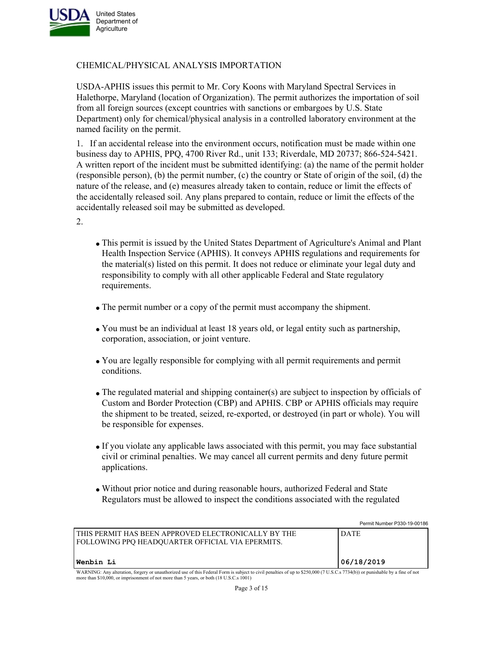

### CHEMICAL/PHYSICAL ANALYSIS IMPORTATION

USDA-APHIS issues this permit to Mr. Cory Koons with Maryland Spectral Services in Halethorpe, Maryland (location of Organization). The permit authorizes the importation of soil from all foreign sources (except countries with sanctions or embargoes by U.S. State Department) only for chemical/physical analysis in a controlled laboratory environment at the named facility on the permit.

1. If an accidental release into the environment occurs, notification must be made within one business day to APHIS, PPQ, 4700 River Rd., unit 133; Riverdale, MD 20737; 866-524-5421. A written report of the incident must be submitted identifying: (a) the name of the permit holder (responsible person), (b) the permit number, (c) the country or State of origin of the soil, (d) the nature of the release, and (e) measures already taken to contain, reduce or limit the effects of the accidentally released soil. Any plans prepared to contain, reduce or limit the effects of the accidentally released soil may be submitted as developed.

2.

- This permit is issued by the United States Department of Agriculture's Animal and Plant Health Inspection Service (APHIS). It conveys APHIS regulations and requirements for the material(s) listed on this permit. It does not reduce or eliminate your legal duty and responsibility to comply with all other applicable Federal and State regulatory requirements.
- The permit number or a copy of the permit must accompany the shipment.
- You must be an individual at least 18 years old, or legal entity such as partnership, corporation, association, or joint venture.
- You are legally responsible for complying with all permit requirements and permit conditions.
- The regulated material and shipping container(s) are subject to inspection by officials of Custom and Border Protection (CBP) and APHIS. CBP or APHIS officials may require the shipment to be treated, seized, re-exported, or destroyed (in part or whole). You will be responsible for expenses.
- If you violate any applicable laws associated with this permit, you may face substantial civil or criminal penalties. We may cancel all current permits and deny future permit applications.
- Without prior notice and during reasonable hours, authorized Federal and State Regulators must be allowed to inspect the conditions associated with the regulated

|                                                                                                                                                                                                                                                                          | Permit Number P330-19-00186 |
|--------------------------------------------------------------------------------------------------------------------------------------------------------------------------------------------------------------------------------------------------------------------------|-----------------------------|
| l this permit has been approved electronically by the<br>  FOLLOWING PPO HEADOUARTER OFFICIAL VIA EPERMITS.                                                                                                                                                              | <b>DATE</b>                 |
| <b> Wenbin Li</b>                                                                                                                                                                                                                                                        | 06/18/2019                  |
| WARNING: Any alteration, forgery or unauthorized use of this Federal Form is subject to civil penalties of up to \$250,000 (7 U.S.C.s 7734(b)) or punishable by a fine of not<br>more than \$10,000, or imprisonment of not more than 5 years, or both (18 U.S.C.s 1001) |                             |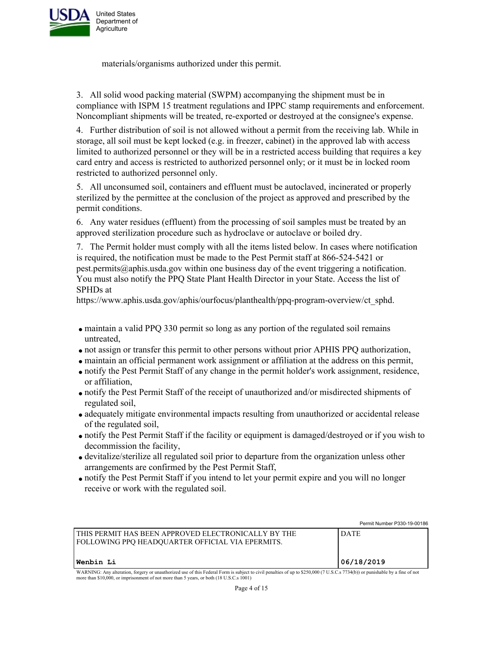

materials/organisms authorized under this permit.

3. All solid wood packing material (SWPM) accompanying the shipment must be in compliance with ISPM 15 treatment regulations and IPPC stamp requirements and enforcement. Noncompliant shipments will be treated, re-exported or destroyed at the consignee's expense.

4. Further distribution of soil is not allowed without a permit from the receiving lab. While in storage, all soil must be kept locked (e.g. in freezer, cabinet) in the approved lab with access limited to authorized personnel or they will be in a restricted access building that requires a key card entry and access is restricted to authorized personnel only; or it must be in locked room restricted to authorized personnel only.

5. All unconsumed soil, containers and effluent must be autoclaved, incinerated or properly sterilized by the permittee at the conclusion of the project as approved and prescribed by the permit conditions.

6. Any water residues (effluent) from the processing of soil samples must be treated by an approved sterilization procedure such as hydroclave or autoclave or boiled dry.

7. The Permit holder must comply with all the items listed below. In cases where notification is required, the notification must be made to the Pest Permit staff at 866-524-5421 or pest.permits@aphis.usda.gov within one business day of the event triggering a notification. You must also notify the PPQ State Plant Health Director in your State. Access the list of SPHDs at

https://www.aphis.usda.gov/aphis/ourfocus/planthealth/ppq-program-overview/ct\_sphd.

- maintain a valid PPQ 330 permit so long as any portion of the regulated soil remains untreated,
- not assign or transfer this permit to other persons without prior APHIS PPQ authorization,
- maintain an official permanent work assignment or affiliation at the address on this permit,
- notify the Pest Permit Staff of any change in the permit holder's work assignment, residence, or affiliation,
- notify the Pest Permit Staff of the receipt of unauthorized and/or misdirected shipments of regulated soil,
- adequately mitigate environmental impacts resulting from unauthorized or accidental release of the regulated soil,
- notify the Pest Permit Staff if the facility or equipment is damaged/destroyed or if you wish to decommission the facility,
- devitalize/sterilize all regulated soil prior to departure from the organization unless other arrangements are confirmed by the Pest Permit Staff,
- notify the Pest Permit Staff if you intend to let your permit expire and you will no longer receive or work with the regulated soil.

|                                                                                                                                                                                                                                                                          | Permit Number P330-19-00186 |
|--------------------------------------------------------------------------------------------------------------------------------------------------------------------------------------------------------------------------------------------------------------------------|-----------------------------|
| I THIS PERMIT HAS BEEN APPROVED ELECTRONICALLY BY THE<br>FOLLOWING PPO HEADOUARTER OFFICIAL VIA EPERMITS.                                                                                                                                                                | <b>DATE</b>                 |
| Wenbin Li                                                                                                                                                                                                                                                                | 06/18/2019                  |
| WARNING: Any alteration, forgery or unauthorized use of this Federal Form is subject to civil penalties of up to \$250,000 (7 U.S.C.s 7734(b)) or punishable by a fine of not<br>more than \$10,000, or imprisonment of not more than 5 years, or both (18 U.S.C.s 1001) |                             |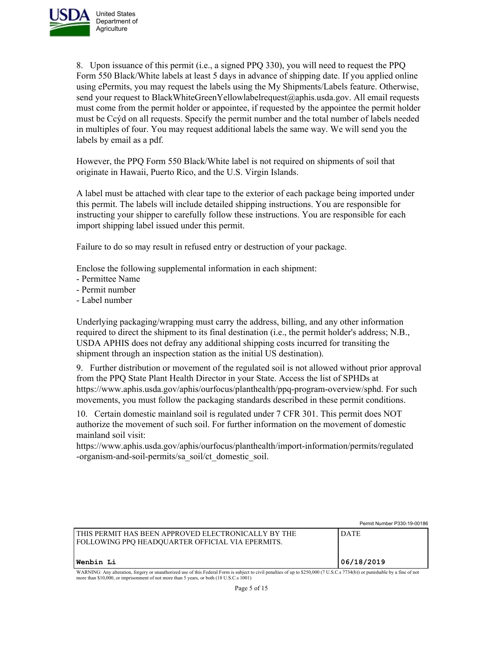

8. Upon issuance of this permit (i.e., a signed PPQ 330), you will need to request the PPQ Form 550 Black/White labels at least 5 days in advance of shipping date. If you applied online using ePermits, you may request the labels using the My Shipments/Labels feature. Otherwise, send your request to BlackWhiteGreenYellowlabelrequest@aphis.usda.gov. All email requests must come from the permit holder or appointee, if requested by the appointee the permit holder must be Ccýd on all requests. Specify the permit number and the total number of labels needed in multiples of four. You may request additional labels the same way. We will send you the labels by email as a pdf.

However, the PPQ Form 550 Black/White label is not required on shipments of soil that originate in Hawaii, Puerto Rico, and the U.S. Virgin Islands.

A label must be attached with clear tape to the exterior of each package being imported under this permit. The labels will include detailed shipping instructions. You are responsible for instructing your shipper to carefully follow these instructions. You are responsible for each import shipping label issued under this permit.

Failure to do so may result in refused entry or destruction of your package.

Enclose the following supplemental information in each shipment:

- Permittee Name
- Permit number
- Label number

Underlying packaging/wrapping must carry the address, billing, and any other information required to direct the shipment to its final destination (i.e., the permit holder's address; N.B., USDA APHIS does not defray any additional shipping costs incurred for transiting the shipment through an inspection station as the initial US destination).

9. Further distribution or movement of the regulated soil is not allowed without prior approval from the PPQ State Plant Health Director in your State. Access the list of SPHDs at https://www.aphis.usda.gov/aphis/ourfocus/planthealth/ppq-program-overview/sphd. For such movements, you must follow the packaging standards described in these permit conditions.

10. Certain domestic mainland soil is regulated under 7 CFR 301. This permit does NOT authorize the movement of such soil. For further information on the movement of domestic mainland soil visit:

https://www.aphis.usda.gov/aphis/ourfocus/planthealth/import-information/permits/regulated -organism-and-soil-permits/sa\_soil/ct\_domestic\_soil.

|                                                                                                                                                                                | Permit Number P330-19-00186 |
|--------------------------------------------------------------------------------------------------------------------------------------------------------------------------------|-----------------------------|
| I THIS PERMIT HAS BEEN APPROVED ELECTRONICALLY BY THE<br><b>FOLLOWING PPO HEADOUARTER OFFICIAL VIA EPERMITS.</b>                                                               | ' DATE                      |
| <b>Wenbin Li</b>                                                                                                                                                               | 106/18/2019                 |
| WARNING: Any alteration, forgery or unauthorized use of this Federal Form is subject to civil penalties of up to \$250,000 (7 U.S.C.s. 7734(b)) or punishable by a fine of not |                             |

WARNING: Any alteration, forgery or unauthorized use of this Federal Form is subject to civil penalties of up to \$250,000 (7 U.S.C.s 7734(b)) or punishable by a fine of not<br>more than \$10,000, or imprisonment of not more th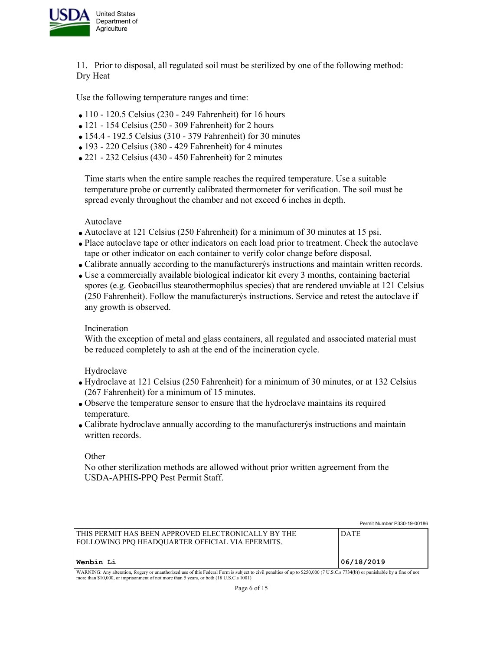

11. Prior to disposal, all regulated soil must be sterilized by one of the following method: Dry Heat

Use the following temperature ranges and time:

- $\bullet$  110 120.5 Celsius (230 249 Fahrenheit) for 16 hours
- $\bullet$  121 154 Celsius (250 309 Fahrenheit) for 2 hours
- 154.4 192.5 Celsius (310 379 Fahrenheit) for 30 minutes
- $\bullet$  193 220 Celsius (380 429 Fahrenheit) for 4 minutes
- 221 232 Celsius (430 450 Fahrenheit) for 2 minutes

Time starts when the entire sample reaches the required temperature. Use a suitable temperature probe or currently calibrated thermometer for verification. The soil must be spread evenly throughout the chamber and not exceed 6 inches in depth.

Autoclave

- Autoclave at 121 Celsius (250 Fahrenheit) for a minimum of 30 minutes at 15 psi.
- Place autoclave tape or other indicators on each load prior to treatment. Check the autoclave tape or other indicator on each container to verify color change before disposal.
- Calibrate annually according to the manufacturerýs instructions and maintain written records.
- Use a commercially available biological indicator kit every 3 months, containing bacterial spores (e.g. Geobacillus stearothermophilus species) that are rendered unviable at 121 Celsius (250 Fahrenheit). Follow the manufacturerýs instructions. Service and retest the autoclave if any growth is observed.

Incineration

With the exception of metal and glass containers, all regulated and associated material must be reduced completely to ash at the end of the incineration cycle.

Hydroclave

- Hydroclave at 121 Celsius (250 Fahrenheit) for a minimum of 30 minutes, or at 132 Celsius (267 Fahrenheit) for a minimum of 15 minutes.
- Observe the temperature sensor to ensure that the hydroclave maintains its required temperature.
- Calibrate hydroclave annually according to the manufacturerýs instructions and maintain written records.

**Other** 

No other sterilization methods are allowed without prior written agreement from the USDA-APHIS-PPQ Pest Permit Staff.

|                                                                                                                                                                               | Permit Number P330-19-00186 |
|-------------------------------------------------------------------------------------------------------------------------------------------------------------------------------|-----------------------------|
| THIS PERMIT HAS BEEN APPROVED ELECTRONICALLY BY THE<br><b>FOLLOWING PPO HEADOUARTER OFFICIAL VIA EPERMITS.</b>                                                                | <b>DATE</b>                 |
| Wenbin Li                                                                                                                                                                     | 06/18/2019                  |
| WARNING: Any alteration, forgery or unauthorized use of this Federal Form is subject to civil penalties of up to \$250,000 (7 U.S.C.s 7734(b)) or punishable by a fine of not |                             |

more than \$10,000, or imprisonment of not more than 5 years, or both (18 U.S.C.s 1001)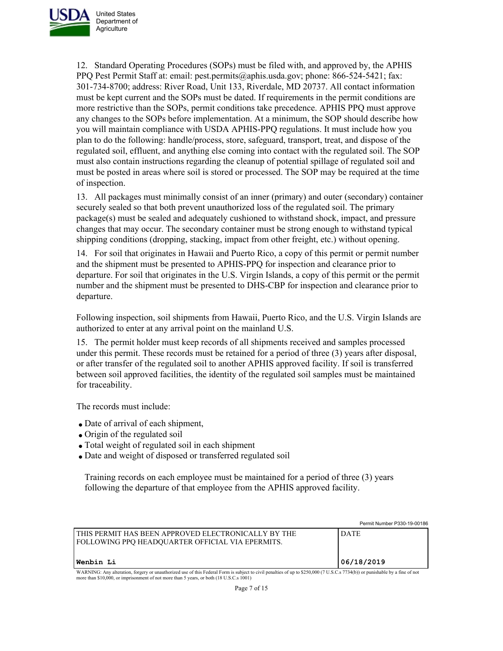

12. Standard Operating Procedures (SOPs) must be filed with, and approved by, the APHIS PPQ Pest Permit Staff at: email: pest.permits@aphis.usda.gov; phone: 866-524-5421; fax: 301-734-8700; address: River Road, Unit 133, Riverdale, MD 20737. All contact information must be kept current and the SOPs must be dated. If requirements in the permit conditions are more restrictive than the SOPs, permit conditions take precedence. APHIS PPQ must approve any changes to the SOPs before implementation. At a minimum, the SOP should describe how you will maintain compliance with USDA APHIS-PPQ regulations. It must include how you plan to do the following: handle/process, store, safeguard, transport, treat, and dispose of the regulated soil, effluent, and anything else coming into contact with the regulated soil. The SOP must also contain instructions regarding the cleanup of potential spillage of regulated soil and must be posted in areas where soil is stored or processed. The SOP may be required at the time of inspection.

13. All packages must minimally consist of an inner (primary) and outer (secondary) container securely sealed so that both prevent unauthorized loss of the regulated soil. The primary package(s) must be sealed and adequately cushioned to withstand shock, impact, and pressure changes that may occur. The secondary container must be strong enough to withstand typical shipping conditions (dropping, stacking, impact from other freight, etc.) without opening.

14. For soil that originates in Hawaii and Puerto Rico, a copy of this permit or permit number and the shipment must be presented to APHIS-PPQ for inspection and clearance prior to departure. For soil that originates in the U.S. Virgin Islands, a copy of this permit or the permit number and the shipment must be presented to DHS-CBP for inspection and clearance prior to departure.

Following inspection, soil shipments from Hawaii, Puerto Rico, and the U.S. Virgin Islands are authorized to enter at any arrival point on the mainland U.S.

15. The permit holder must keep records of all shipments received and samples processed under this permit. These records must be retained for a period of three (3) years after disposal, or after transfer of the regulated soil to another APHIS approved facility. If soil is transferred between soil approved facilities, the identity of the regulated soil samples must be maintained for traceability.

The records must include:

- Date of arrival of each shipment,
- Origin of the regulated soil
- Total weight of regulated soil in each shipment
- Date and weight of disposed or transferred regulated soil

Training records on each employee must be maintained for a period of three (3) years following the departure of that employee from the APHIS approved facility.

|                                                                                                                                                                                                                                                                          | Permit Number P330-19-00186 |
|--------------------------------------------------------------------------------------------------------------------------------------------------------------------------------------------------------------------------------------------------------------------------|-----------------------------|
| l this permit has been approved electronically by the<br>FOLLOWING PPQ HEADQUARTER OFFICIAL VIA EPERMITS.                                                                                                                                                                | <b>DATE</b>                 |
| Wenbin Li                                                                                                                                                                                                                                                                | 06/18/2019                  |
| WARNING: Any alteration, forgery or unauthorized use of this Federal Form is subject to civil penalties of up to \$250,000 (7 U.S.C.s 7734(b)) or punishable by a fine of not<br>more than \$10,000, or imprisonment of not more than 5 years, or both (18 U.S.C.s 1001) |                             |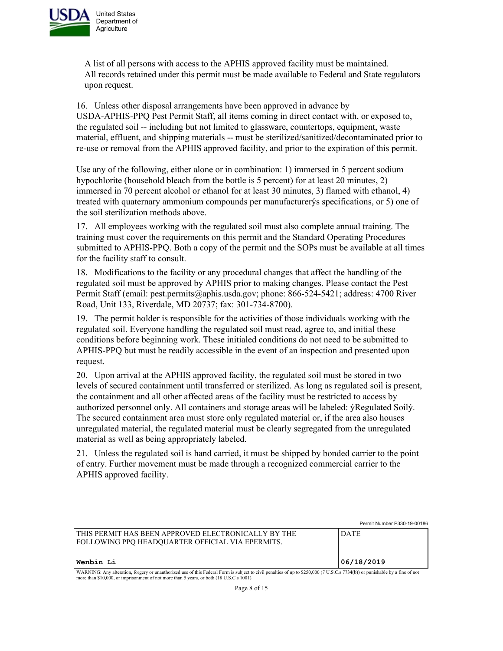

A list of all persons with access to the APHIS approved facility must be maintained. All records retained under this permit must be made available to Federal and State regulators upon request.

16. Unless other disposal arrangements have been approved in advance by USDA-APHIS-PPQ Pest Permit Staff, all items coming in direct contact with, or exposed to, the regulated soil -- including but not limited to glassware, countertops, equipment, waste material, effluent, and shipping materials -- must be sterilized/sanitized/decontaminated prior to re-use or removal from the APHIS approved facility, and prior to the expiration of this permit.

Use any of the following, either alone or in combination: 1) immersed in 5 percent sodium hypochlorite (household bleach from the bottle is 5 percent) for at least 20 minutes, 2) immersed in 70 percent alcohol or ethanol for at least 30 minutes, 3) flamed with ethanol, 4) treated with quaternary ammonium compounds per manufacturerýs specifications, or 5) one of the soil sterilization methods above.

17. All employees working with the regulated soil must also complete annual training. The training must cover the requirements on this permit and the Standard Operating Procedures submitted to APHIS-PPQ. Both a copy of the permit and the SOPs must be available at all times for the facility staff to consult.

18. Modifications to the facility or any procedural changes that affect the handling of the regulated soil must be approved by APHIS prior to making changes. Please contact the Pest Permit Staff (email: pest.permits@aphis.usda.gov; phone: 866-524-5421; address: 4700 River Road, Unit 133, Riverdale, MD 20737; fax: 301-734-8700).

19. The permit holder is responsible for the activities of those individuals working with the regulated soil. Everyone handling the regulated soil must read, agree to, and initial these conditions before beginning work. These initialed conditions do not need to be submitted to APHIS-PPQ but must be readily accessible in the event of an inspection and presented upon request.

20. Upon arrival at the APHIS approved facility, the regulated soil must be stored in two levels of secured containment until transferred or sterilized. As long as regulated soil is present, the containment and all other affected areas of the facility must be restricted to access by authorized personnel only. All containers and storage areas will be labeled: ýRegulated Soilý. The secured containment area must store only regulated material or, if the area also houses unregulated material, the regulated material must be clearly segregated from the unregulated material as well as being appropriately labeled.

21. Unless the regulated soil is hand carried, it must be shipped by bonded carrier to the point of entry. Further movement must be made through a recognized commercial carrier to the APHIS approved facility.

|                                                                                                                                                                                                                                                                          | Permit Number P330-19-00186 |
|--------------------------------------------------------------------------------------------------------------------------------------------------------------------------------------------------------------------------------------------------------------------------|-----------------------------|
| I THIS PERMIT HAS BEEN APPROVED ELECTRONICALLY BY THE<br>FOLLOWING PPO HEADOUARTER OFFICIAL VIA EPERMITS.                                                                                                                                                                | <b>DATE</b>                 |
| Wenbin Li                                                                                                                                                                                                                                                                | '06/18/2019                 |
| WARNING: Any alteration, forgery or unauthorized use of this Federal Form is subject to civil penalties of up to \$250,000 (7 U.S.C.s 7734(b)) or punishable by a fine of not<br>more than \$10,000, or imprisonment of not more than 5 years, or both (18 U.S.C.s 1001) |                             |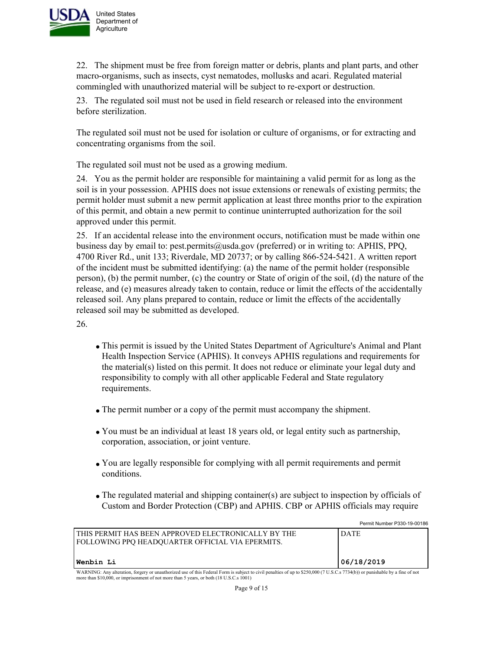

22. The shipment must be free from foreign matter or debris, plants and plant parts, and other macro-organisms, such as insects, cyst nematodes, mollusks and acari. Regulated material commingled with unauthorized material will be subject to re-export or destruction.

23. The regulated soil must not be used in field research or released into the environment before sterilization.

The regulated soil must not be used for isolation or culture of organisms, or for extracting and concentrating organisms from the soil.

The regulated soil must not be used as a growing medium.

24. You as the permit holder are responsible for maintaining a valid permit for as long as the soil is in your possession. APHIS does not issue extensions or renewals of existing permits; the permit holder must submit a new permit application at least three months prior to the expiration of this permit, and obtain a new permit to continue uninterrupted authorization for the soil approved under this permit.

25. If an accidental release into the environment occurs, notification must be made within one business day by email to: pest.permits@usda.gov (preferred) or in writing to: APHIS, PPQ, 4700 River Rd., unit 133; Riverdale, MD 20737; or by calling 866-524-5421. A written report of the incident must be submitted identifying: (a) the name of the permit holder (responsible person), (b) the permit number, (c) the country or State of origin of the soil, (d) the nature of the release, and (e) measures already taken to contain, reduce or limit the effects of the accidentally released soil. Any plans prepared to contain, reduce or limit the effects of the accidentally released soil may be submitted as developed.

26.

- This permit is issued by the United States Department of Agriculture's Animal and Plant Health Inspection Service (APHIS). It conveys APHIS regulations and requirements for the material(s) listed on this permit. It does not reduce or eliminate your legal duty and responsibility to comply with all other applicable Federal and State regulatory requirements.
- The permit number or a copy of the permit must accompany the shipment.
- You must be an individual at least 18 years old, or legal entity such as partnership, corporation, association, or joint venture.
- You are legally responsible for complying with all permit requirements and permit conditions.
- The regulated material and shipping container(s) are subject to inspection by officials of Custom and Border Protection (CBP) and APHIS. CBP or APHIS officials may require

|                                                                                                                                                                                                                                                                          | Permit Number P330-19-00186 |
|--------------------------------------------------------------------------------------------------------------------------------------------------------------------------------------------------------------------------------------------------------------------------|-----------------------------|
| l this permit has been approved electronically by the<br>  FOLLOWING PPO HEADOUARTER OFFICIAL VIA EPERMITS.                                                                                                                                                              | <b>DATE</b>                 |
| Wenbin Li                                                                                                                                                                                                                                                                | 06/18/2019                  |
| WARNING: Any alteration, forgery or unauthorized use of this Federal Form is subject to civil penalties of up to \$250,000 (7 U.S.C.s 7734(b)) or punishable by a fine of not<br>more than \$10,000, or imprisonment of not more than 5 years, or both (18 U.S.C.s 1001) |                             |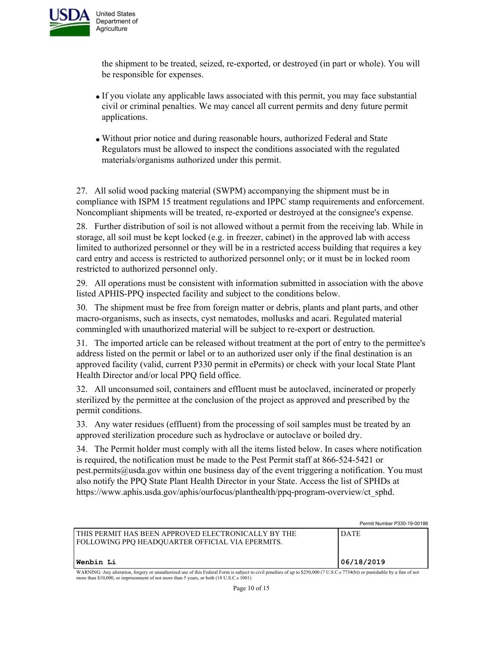

the shipment to be treated, seized, re-exported, or destroyed (in part or whole). You will be responsible for expenses.

- If you violate any applicable laws associated with this permit, you may face substantial civil or criminal penalties. We may cancel all current permits and deny future permit applications.
- Without prior notice and during reasonable hours, authorized Federal and State Regulators must be allowed to inspect the conditions associated with the regulated materials/organisms authorized under this permit.

27. All solid wood packing material (SWPM) accompanying the shipment must be in compliance with ISPM 15 treatment regulations and IPPC stamp requirements and enforcement. Noncompliant shipments will be treated, re-exported or destroyed at the consignee's expense.

28. Further distribution of soil is not allowed without a permit from the receiving lab. While in storage, all soil must be kept locked (e.g. in freezer, cabinet) in the approved lab with access limited to authorized personnel or they will be in a restricted access building that requires a key card entry and access is restricted to authorized personnel only; or it must be in locked room restricted to authorized personnel only.

29. All operations must be consistent with information submitted in association with the above listed APHIS-PPQ inspected facility and subject to the conditions below.

30. The shipment must be free from foreign matter or debris, plants and plant parts, and other macro-organisms, such as insects, cyst nematodes, mollusks and acari. Regulated material commingled with unauthorized material will be subject to re-export or destruction.

31. The imported article can be released without treatment at the port of entry to the permittee's address listed on the permit or label or to an authorized user only if the final destination is an approved facility (valid, current P330 permit in ePermits) or check with your local State Plant Health Director and/or local PPQ field office.

32. All unconsumed soil, containers and effluent must be autoclaved, incinerated or properly sterilized by the permittee at the conclusion of the project as approved and prescribed by the permit conditions.

33. Any water residues (effluent) from the processing of soil samples must be treated by an approved sterilization procedure such as hydroclave or autoclave or boiled dry.

34. The Permit holder must comply with all the items listed below. In cases where notification is required, the notification must be made to the Pest Permit staff at 866-524-5421 or pest.permits@usda.gov within one business day of the event triggering a notification. You must also notify the PPQ State Plant Health Director in your State. Access the list of SPHDs at https://www.aphis.usda.gov/aphis/ourfocus/planthealth/ppq-program-overview/ct\_sphd.

Permit Number P330-19-00186 THIS PERMIT HAS BEEN APPROVED ELECTRONICALLY BY THE FOLLOWING PPQ HEADQUARTER OFFICIAL VIA EPERMITS. DATE **Wenbin Li 06/18/2019** WARNING: Any alteration, forgery or unauthorized use of this Federal Form is subject to civil penalties of up to \$250,000 (7 U.S.C.s 7734(b)) or punishable by a fine of not more than \$10,000, or imprisonment of not more than 5 years, or both (18 U.S.C.s 1001)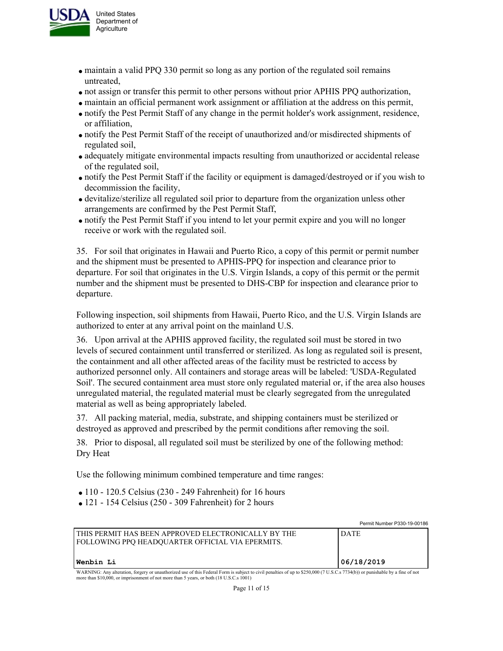

- maintain a valid PPQ 330 permit so long as any portion of the regulated soil remains untreated,
- not assign or transfer this permit to other persons without prior APHIS PPQ authorization,
- maintain an official permanent work assignment or affiliation at the address on this permit,
- notify the Pest Permit Staff of any change in the permit holder's work assignment, residence, or affiliation,
- notify the Pest Permit Staff of the receipt of unauthorized and/or misdirected shipments of regulated soil,
- adequately mitigate environmental impacts resulting from unauthorized or accidental release of the regulated soil,
- notify the Pest Permit Staff if the facility or equipment is damaged/destroyed or if you wish to decommission the facility,
- devitalize/sterilize all regulated soil prior to departure from the organization unless other arrangements are confirmed by the Pest Permit Staff,
- notify the Pest Permit Staff if you intend to let your permit expire and you will no longer receive or work with the regulated soil.

35. For soil that originates in Hawaii and Puerto Rico, a copy of this permit or permit number and the shipment must be presented to APHIS-PPQ for inspection and clearance prior to departure. For soil that originates in the U.S. Virgin Islands, a copy of this permit or the permit number and the shipment must be presented to DHS-CBP for inspection and clearance prior to departure.

Following inspection, soil shipments from Hawaii, Puerto Rico, and the U.S. Virgin Islands are authorized to enter at any arrival point on the mainland U.S.

36. Upon arrival at the APHIS approved facility, the regulated soil must be stored in two levels of secured containment until transferred or sterilized. As long as regulated soil is present, the containment and all other affected areas of the facility must be restricted to access by authorized personnel only. All containers and storage areas will be labeled: 'USDA-Regulated Soil'. The secured containment area must store only regulated material or, if the area also houses unregulated material, the regulated material must be clearly segregated from the unregulated material as well as being appropriately labeled.

37. All packing material, media, substrate, and shipping containers must be sterilized or destroyed as approved and prescribed by the permit conditions after removing the soil.

38. Prior to disposal, all regulated soil must be sterilized by one of the following method: Dry Heat

Use the following minimum combined temperature and time ranges:

- $\bullet$  110 120.5 Celsius (230 249 Fahrenheit) for 16 hours
- $\bullet$  121 154 Celsius (250 309 Fahrenheit) for 2 hours

|                                                                                                                                                                               | Permit Number P330-19-00186 |
|-------------------------------------------------------------------------------------------------------------------------------------------------------------------------------|-----------------------------|
| I THIS PERMIT HAS BEEN APPROVED ELECTRONICALLY BY THE<br><b>FOLLOWING PPQ HEADQUARTER OFFICIAL VIA EPERMITS.</b>                                                              | <b>DATE</b>                 |
| Wenbin Li                                                                                                                                                                     | 06/18/2019                  |
| WARNING: Any alteration, forgery or unauthorized use of this Federal Form is subject to civil penalties of up to \$250,000 (7 U.S.C.s 7734(b)) or punishable by a fine of not |                             |

WARNING: Any alteration, forgery or unauthorized use of this Federal Form is subject to civil penalties of up to \$250,000 (7 U.S.C.s 7734(b)) or punishable by a fine of not more than \$10,000, or imprisonment of not more than 5 years, or both (18 U.S.C.s 1001)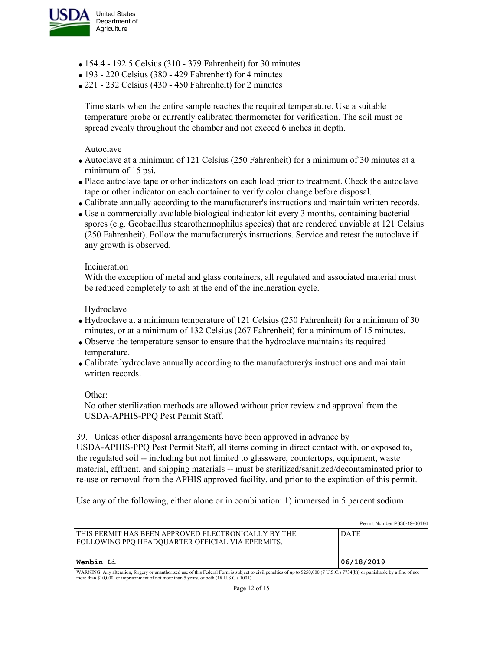

- 154.4 192.5 Celsius (310 379 Fahrenheit) for 30 minutes
- 193 220 Celsius (380 429 Fahrenheit) for 4 minutes
- 221 232 Celsius (430 450 Fahrenheit) for 2 minutes

Time starts when the entire sample reaches the required temperature. Use a suitable temperature probe or currently calibrated thermometer for verification. The soil must be spread evenly throughout the chamber and not exceed 6 inches in depth.

Autoclave

- Autoclave at a minimum of 121 Celsius (250 Fahrenheit) for a minimum of 30 minutes at a minimum of 15 psi.
- Place autoclave tape or other indicators on each load prior to treatment. Check the autoclave tape or other indicator on each container to verify color change before disposal.
- Calibrate annually according to the manufacturer's instructions and maintain written records.
- Use a commercially available biological indicator kit every 3 months, containing bacterial spores (e.g. Geobacillus stearothermophilus species) that are rendered unviable at 121 Celsius (250 Fahrenheit). Follow the manufacturerýs instructions. Service and retest the autoclave if any growth is observed.

#### Incineration

With the exception of metal and glass containers, all regulated and associated material must be reduced completely to ash at the end of the incineration cycle.

Hydroclave

- Hydroclave at a minimum temperature of 121 Celsius (250 Fahrenheit) for a minimum of 30 minutes, or at a minimum of 132 Celsius (267 Fahrenheit) for a minimum of 15 minutes.
- Observe the temperature sensor to ensure that the hydroclave maintains its required temperature.
- Calibrate hydroclave annually according to the manufacturerýs instructions and maintain written records.

Other:

No other sterilization methods are allowed without prior review and approval from the USDA-APHIS-PPQ Pest Permit Staff.

39. Unless other disposal arrangements have been approved in advance by

USDA-APHIS-PPQ Pest Permit Staff, all items coming in direct contact with, or exposed to, the regulated soil -- including but not limited to glassware, countertops, equipment, waste material, effluent, and shipping materials -- must be sterilized/sanitized/decontaminated prior to re-use or removal from the APHIS approved facility, and prior to the expiration of this permit.

Use any of the following, either alone or in combination: 1) immersed in 5 percent sodium

|                                                                                                                                                                                                                                                                          | Permit Number P330-19-00186 |
|--------------------------------------------------------------------------------------------------------------------------------------------------------------------------------------------------------------------------------------------------------------------------|-----------------------------|
| I THIS PERMIT HAS BEEN APPROVED ELECTRONICALLY BY THE<br>FOLLOWING PPQ HEADQUARTER OFFICIAL VIA EPERMITS.                                                                                                                                                                | <b>DATE</b>                 |
| Wenbin Li                                                                                                                                                                                                                                                                | 06/18/2019                  |
| WARNING: Any alteration, forgery or unauthorized use of this Federal Form is subject to civil penalties of up to \$250,000 (7 U.S.C.s 7734(b)) or punishable by a fine of not<br>more than \$10,000, or imprisonment of not more than 5 years, or both (18 U.S.C.s 1001) |                             |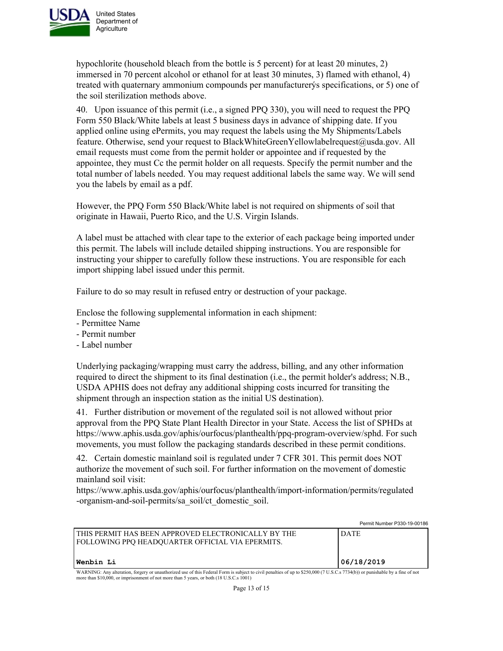

hypochlorite (household bleach from the bottle is 5 percent) for at least 20 minutes, 2) immersed in 70 percent alcohol or ethanol for at least 30 minutes, 3) flamed with ethanol, 4) treated with quaternary ammonium compounds per manufacturerýs specifications, or 5) one of the soil sterilization methods above.

40. Upon issuance of this permit (i.e., a signed PPQ 330), you will need to request the PPQ Form 550 Black/White labels at least 5 business days in advance of shipping date. If you applied online using ePermits, you may request the labels using the My Shipments/Labels feature. Otherwise, send your request to BlackWhiteGreenYellowlabelrequest@usda.gov. All email requests must come from the permit holder or appointee and if requested by the appointee, they must Cc the permit holder on all requests. Specify the permit number and the total number of labels needed. You may request additional labels the same way. We will send you the labels by email as a pdf.

However, the PPQ Form 550 Black/White label is not required on shipments of soil that originate in Hawaii, Puerto Rico, and the U.S. Virgin Islands.

A label must be attached with clear tape to the exterior of each package being imported under this permit. The labels will include detailed shipping instructions. You are responsible for instructing your shipper to carefully follow these instructions. You are responsible for each import shipping label issued under this permit.

Failure to do so may result in refused entry or destruction of your package.

Enclose the following supplemental information in each shipment:

- Permittee Name
- Permit number
- Label number

Underlying packaging/wrapping must carry the address, billing, and any other information required to direct the shipment to its final destination (i.e., the permit holder's address; N.B., USDA APHIS does not defray any additional shipping costs incurred for transiting the shipment through an inspection station as the initial US destination).

41. Further distribution or movement of the regulated soil is not allowed without prior approval from the PPQ State Plant Health Director in your State. Access the list of SPHDs at https://www.aphis.usda.gov/aphis/ourfocus/planthealth/ppq-program-overview/sphd. For such movements, you must follow the packaging standards described in these permit conditions.

42. Certain domestic mainland soil is regulated under 7 CFR 301. This permit does NOT authorize the movement of such soil. For further information on the movement of domestic mainland soil visit:

https://www.aphis.usda.gov/aphis/ourfocus/planthealth/import-information/permits/regulated -organism-and-soil-permits/sa\_soil/ct\_domestic\_soil.

|                                                                                                                                                                                                                                                                          | Permit Number P330-19-00186 |  |
|--------------------------------------------------------------------------------------------------------------------------------------------------------------------------------------------------------------------------------------------------------------------------|-----------------------------|--|
| l this permit has been approved electronically by the<br>  FOLLOWING PPO HEADOUARTER OFFICIAL VIA EPERMITS.                                                                                                                                                              | <b>DATE</b>                 |  |
| Wenbin Li                                                                                                                                                                                                                                                                | 06/18/2019                  |  |
| WARNING: Any alteration, forgery or unauthorized use of this Federal Form is subject to civil penalties of up to \$250,000 (7 U.S.C.s 7734(b)) or punishable by a fine of not<br>more than \$10,000, or imprisonment of not more than 5 years, or both (18 U.S.C.s 1001) |                             |  |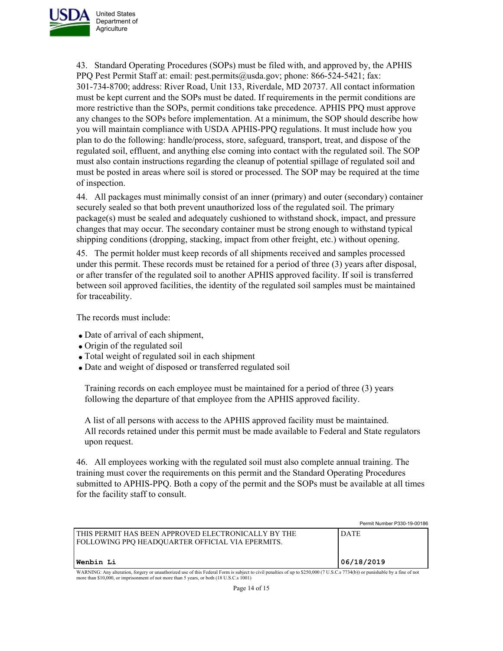

43. Standard Operating Procedures (SOPs) must be filed with, and approved by, the APHIS PPQ Pest Permit Staff at: email: pest.permits@usda.gov; phone: 866-524-5421; fax: 301-734-8700; address: River Road, Unit 133, Riverdale, MD 20737. All contact information must be kept current and the SOPs must be dated. If requirements in the permit conditions are more restrictive than the SOPs, permit conditions take precedence. APHIS PPQ must approve any changes to the SOPs before implementation. At a minimum, the SOP should describe how you will maintain compliance with USDA APHIS-PPQ regulations. It must include how you plan to do the following: handle/process, store, safeguard, transport, treat, and dispose of the regulated soil, effluent, and anything else coming into contact with the regulated soil. The SOP must also contain instructions regarding the cleanup of potential spillage of regulated soil and must be posted in areas where soil is stored or processed. The SOP may be required at the time of inspection.

44. All packages must minimally consist of an inner (primary) and outer (secondary) container securely sealed so that both prevent unauthorized loss of the regulated soil. The primary package(s) must be sealed and adequately cushioned to withstand shock, impact, and pressure changes that may occur. The secondary container must be strong enough to withstand typical shipping conditions (dropping, stacking, impact from other freight, etc.) without opening.

45. The permit holder must keep records of all shipments received and samples processed under this permit. These records must be retained for a period of three (3) years after disposal, or after transfer of the regulated soil to another APHIS approved facility. If soil is transferred between soil approved facilities, the identity of the regulated soil samples must be maintained for traceability.

The records must include:

- Date of arrival of each shipment,
- Origin of the regulated soil
- Total weight of regulated soil in each shipment
- Date and weight of disposed or transferred regulated soil

Training records on each employee must be maintained for a period of three (3) years following the departure of that employee from the APHIS approved facility.

A list of all persons with access to the APHIS approved facility must be maintained. All records retained under this permit must be made available to Federal and State regulators upon request.

46. All employees working with the regulated soil must also complete annual training. The training must cover the requirements on this permit and the Standard Operating Procedures submitted to APHIS-PPQ. Both a copy of the permit and the SOPs must be available at all times for the facility staff to consult.

Permit Number P330-19-00186 THIS PERMIT HAS BEEN APPROVED ELECTRONICALLY BY THE FOLLOWING PPQ HEADQUARTER OFFICIAL VIA EPERMITS. DATE **Wenbin Li 06/18/2019** WARNING: Any alteration, forgery or unauthorized use of this Federal Form is subject to civil penalties of up to \$250,000 (7 U.S.C.s 7734(b)) or punishable by a fine of not more than \$10,000, or imprisonment of not more than 5 years, or both (18 U.S.C.s 1001)